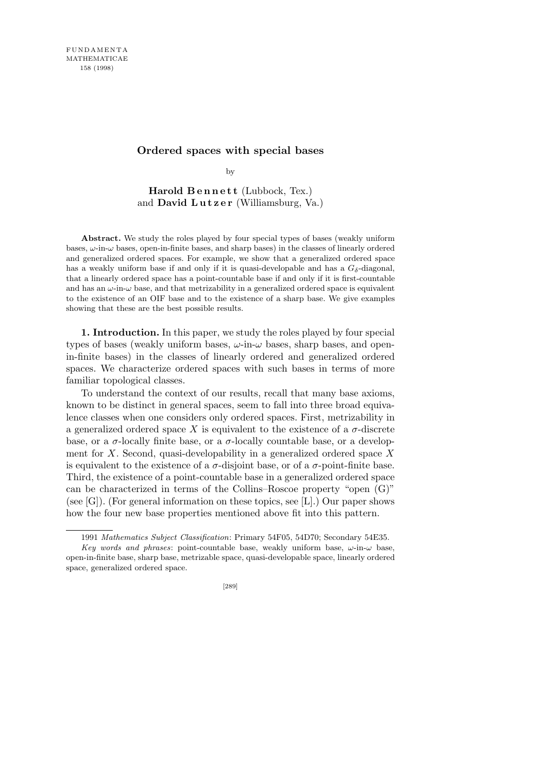## **Ordered spaces with special bases**

by

Harold Bennett (Lubbock, Tex.) and **David Lutzer** (Williamsburg, Va.)

**Abstract.** We study the roles played by four special types of bases (weakly uniform bases, *ω*-in-*ω* bases, open-in-finite bases, and sharp bases) in the classes of linearly ordered and generalized ordered spaces. For example, we show that a generalized ordered space has a weakly uniform base if and only if it is quasi-developable and has a  $G_{\delta}$ -diagonal, that a linearly ordered space has a point-countable base if and only if it is first-countable and has an  $\omega$ -in- $\omega$  base, and that metrizability in a generalized ordered space is equivalent to the existence of an OIF base and to the existence of a sharp base. We give examples showing that these are the best possible results.

**1. Introduction.** In this paper, we study the roles played by four special types of bases (weakly uniform bases, *ω*-in-*ω* bases, sharp bases, and openin-finite bases) in the classes of linearly ordered and generalized ordered spaces. We characterize ordered spaces with such bases in terms of more familiar topological classes.

To understand the context of our results, recall that many base axioms, known to be distinct in general spaces, seem to fall into three broad equivalence classes when one considers only ordered spaces. First, metrizability in a generalized ordered space X is equivalent to the existence of a  $\sigma$ -discrete base, or a  $\sigma$ -locally finite base, or a  $\sigma$ -locally countable base, or a development for *X*. Second, quasi-developability in a generalized ordered space *X* is equivalent to the existence of a  $\sigma$ -disjoint base, or of a  $\sigma$ -point-finite base. Third, the existence of a point-countable base in a generalized ordered space can be characterized in terms of the Collins–Roscoe property "open (G)" (see  $[G]$ ). (For general information on these topics, see [L].) Our paper shows how the four new base properties mentioned above fit into this pattern.

<sup>1991</sup> *Mathematics Subject Classification*: Primary 54F05, 54D70; Secondary 54E35.

*Key words and phrases*: point-countable base, weakly uniform base, *ω*-in-*ω* base, open-in-finite base, sharp base, metrizable space, quasi-developable space, linearly ordered space, generalized ordered space.

<sup>[289]</sup>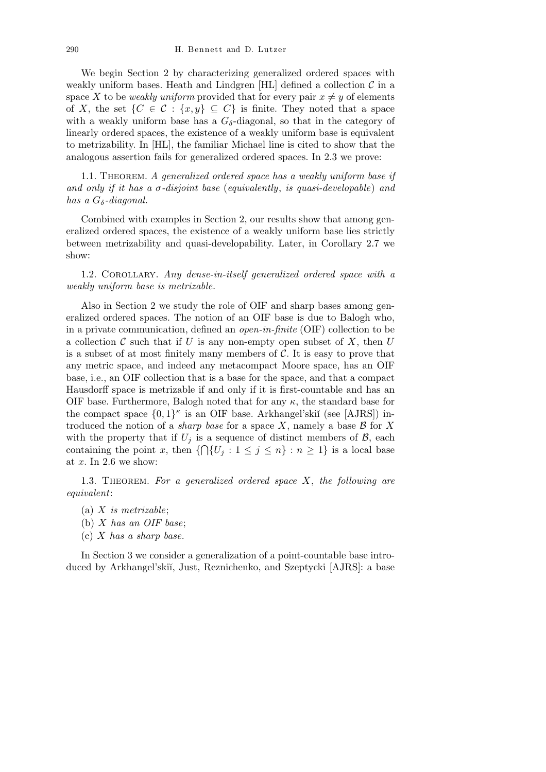We begin Section 2 by characterizing generalized ordered spaces with weakly uniform bases. Heath and Lindgren  $[HL]$  defined a collection  $C$  in a space X to be *weakly uniform* provided that for every pair  $x \neq y$  of elements of *X*, the set  $\{C \in \mathcal{C} : \{x, y\} \subseteq C\}$  is finite. They noted that a space with a weakly uniform base has a  $G_{\delta}$ -diagonal, so that in the category of linearly ordered spaces, the existence of a weakly uniform base is equivalent to metrizability. In [HL], the familiar Michael line is cited to show that the analogous assertion fails for generalized ordered spaces. In 2.3 we prove:

1.1. Theorem. *A generalized ordered space has a weakly uniform base if and only if it has a σ-disjoint base* (*equivalently*, *is quasi-developable*) *and has a Gδ-diagonal.*

Combined with examples in Section 2, our results show that among generalized ordered spaces, the existence of a weakly uniform base lies strictly between metrizability and quasi-developability. Later, in Corollary 2.7 we show:

1.2. Corollary. *Any dense-in-itself generalized ordered space with a weakly uniform base is metrizable.*

Also in Section 2 we study the role of OIF and sharp bases among generalized ordered spaces. The notion of an OIF base is due to Balogh who, in a private communication, defined an *open-in-finite* (OIF) collection to be a collection  $\mathcal C$  such that if  $U$  is any non-empty open subset of  $X$ , then  $U$ is a subset of at most finitely many members of *C*. It is easy to prove that any metric space, and indeed any metacompact Moore space, has an OIF base, i.e., an OIF collection that is a base for the space, and that a compact Hausdorff space is metrizable if and only if it is first-countable and has an OIF base. Furthermore, Balogh noted that for any  $\kappa$ , the standard base for the compact space  $\{0,1\}^{\kappa}$  is an OIF base. Arkhangel'skiĭ (see [AJRS]) introduced the notion of a *sharp base* for a space *X*, namely a base *B* for *X* with the property that if  $U_j$  is a sequence of distinct members of  $\mathcal{B}$ , each containing the point *x*, then  $\{\bigcap\{U_j : 1 \leq j \leq n\} : n \geq 1\}$  is a local base at *x*. In 2.6 we show:

1.3. Theorem. *For a generalized ordered space X*, *the following are equivalent*:

- (a) *X is metrizable*;
- (b) *X has an OIF base*;
- (c) *X has a sharp base.*

In Section 3 we consider a generalization of a point-countable base introduced by Arkhangel'ski˘ı, Just, Reznichenko, and Szeptycki [AJRS]: a base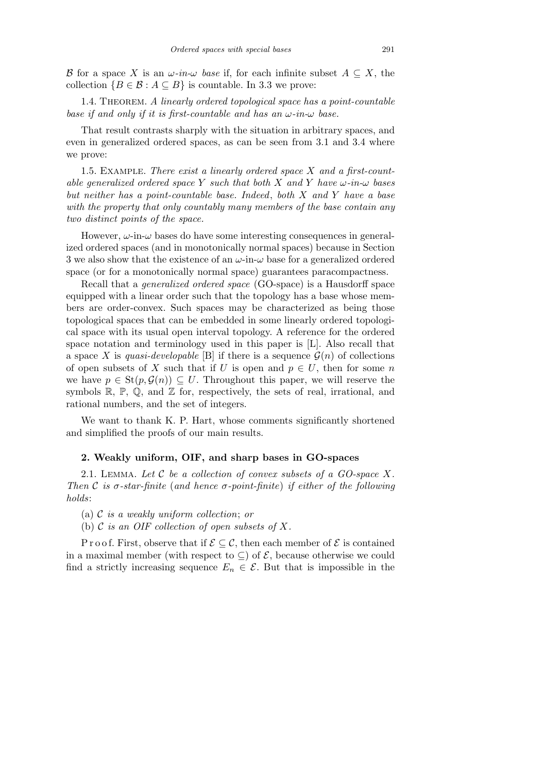*B* for a space *X* is an  $\omega$ *-in-* $\omega$  *base* if, for each infinite subset  $A \subseteq X$ , the collection  ${B \in \mathcal{B} : A \subseteq B}$  is countable. In 3.3 we prove:

1.4. Theorem. *A linearly ordered topological space has a point-countable base if and only if it is first-countable and has an ω-in-ω base.*

That result contrasts sharply with the situation in arbitrary spaces, and even in generalized ordered spaces, as can be seen from 3.1 and 3.4 where we prove:

1.5. Example. *There exist a linearly ordered space X and a first-countable generalized ordered space Y such that both X and Y have ω-in-ω bases but neither has a point-countable base. Indeed*, *both X and Y have a base with the property that only countably many members of the base contain any two distinct points of the space.*

However,  $\omega$ -in- $\omega$  bases do have some interesting consequences in generalized ordered spaces (and in monotonically normal spaces) because in Section 3 we also show that the existence of an *ω*-in-*ω* base for a generalized ordered space (or for a monotonically normal space) guarantees paracompactness.

Recall that a *generalized ordered space* (GO-space) is a Hausdorff space equipped with a linear order such that the topology has a base whose members are order-convex. Such spaces may be characterized as being those topological spaces that can be embedded in some linearly ordered topological space with its usual open interval topology. A reference for the ordered space notation and terminology used in this paper is [L]. Also recall that a space X is *quasi-developable* [B] if there is a sequence  $\mathcal{G}(n)$  of collections of open subsets of *X* such that if *U* is open and  $p \in U$ , then for some *n* we have  $p \in \text{St}(p, \mathcal{G}(n)) \subseteq U$ . Throughout this paper, we will reserve the symbols  $\mathbb{R}, \mathbb{P}, \mathbb{Q}$ , and  $\mathbb{Z}$  for, respectively, the sets of real, irrational, and rational numbers, and the set of integers.

We want to thank K. P. Hart, whose comments significantly shortened and simplified the proofs of our main results.

## **2. Weakly uniform, OIF, and sharp bases in GO-spaces**

2.1. Lemma. *Let C be a collection of convex subsets of a GO-space X. Then C is σ-star-finite* (*and hence σ-point-finite*) *if either of the following holds*:

- (a) *C is a weakly uniform collection*; *or*
- (b) *C is an OIF collection of open subsets of X.*

P r o o f. First, observe that if  $\mathcal{E} \subseteq \mathcal{C}$ , then each member of  $\mathcal{E}$  is contained in a maximal member (with respect to  $\subseteq$ ) of  $\mathcal{E}$ , because otherwise we could find a strictly increasing sequence  $E_n \in \mathcal{E}$ . But that is impossible in the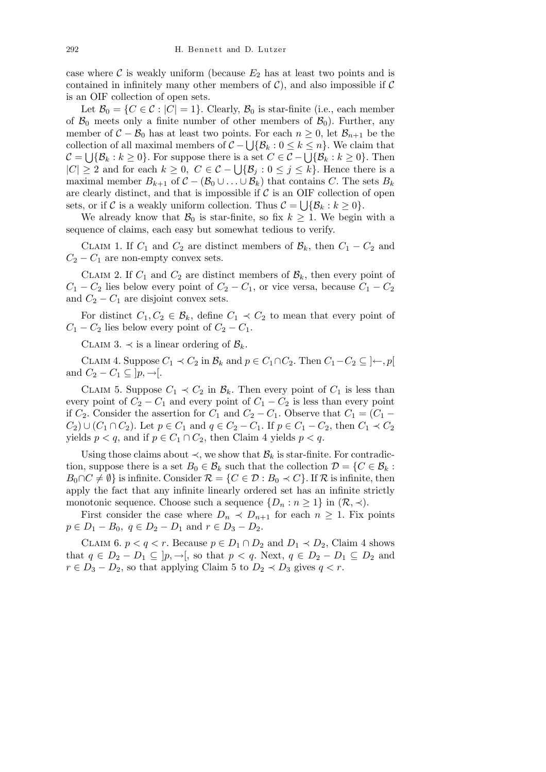case where  $\mathcal C$  is weakly uniform (because  $E_2$  has at least two points and is contained in infinitely many other members of  $C$ ), and also impossible if  $C$ is an OIF collection of open sets.

Let  $\mathcal{B}_0 = \{C \in \mathcal{C} : |C| = 1\}$ . Clearly,  $\mathcal{B}_0$  is star-finite (i.e., each member of  $\mathcal{B}_0$  meets only a finite number of other members of  $\mathcal{B}_0$ ). Further, any member of  $C - B_0$  has at least two points. For each  $n \geq 0$ , let  $B_{n+1}$  be the collection of all maximal members of  $C - \bigcup \{B_k : 0 \le k \le n\}$ . We claim that *C* =  $\bigcup \{B_k : k \geq 0\}$ . For suppose there is a set  $C \in \mathcal{C} - \bigcup \{B_k : k \geq 0\}$ . Then *C* =  $\bigcup{\{B_k : k \ge 0\}}$ . For suppose there is a set  $C \in C - \bigcup{\{B_k : k \ge 0\}}$ . Then<br>  $|C| \ge 2$  and for each  $k \ge 0$ ,  $C \in C - \bigcup{\{B_j : 0 \le j \le k\}}$ . Hence there is a maximal member  $B_{k+1}$  of  $C - (\mathcal{B}_0 \cup \ldots \cup \mathcal{B}_k)$  that contains *C*. The sets  $B_k$ are clearly distinct, and that is impossible if  $\mathcal{C}$  is an OIF collection of open sets, or if C is a weakly uniform collection. Thus  $C = \bigcup \{ \mathcal{B}_k : k \geq 0 \}.$ 

We already know that  $\mathcal{B}_0$  is star-finite, so fix  $k \geq 1$ . We begin with a sequence of claims, each easy but somewhat tedious to verify.

CLAIM 1. If  $C_1$  and  $C_2$  are distinct members of  $\mathcal{B}_k$ , then  $C_1 - C_2$  and  $C_2 - C_1$  are non-empty convex sets.

CLAIM 2. If  $C_1$  and  $C_2$  are distinct members of  $\mathcal{B}_k$ , then every point of  $C_1 - C_2$  lies below every point of  $C_2 - C_1$ , or vice versa, because  $C_1 - C_2$ and  $C_2 - C_1$  are disjoint convex sets.

For distinct  $C_1, C_2 \in \mathcal{B}_k$ , define  $C_1 \prec C_2$  to mean that every point of  $C_1 - C_2$  lies below every point of  $C_2 - C_1$ .

CLAIM 3.  $\prec$  is a linear ordering of  $\mathcal{B}_k$ .

CLAIM 4. Suppose  $C_1$  *≺*  $C_2$  in  $\mathcal{B}_k$  and  $p \in C_1 \cap C_2$ . Then  $C_1 - C_2 \subseteq \{ \leftarrow, p \}$ and  $C_2 - C_1 \subseteq [p, \rightarrow]$ .

CLAIM 5. Suppose  $C_1 \prec C_2$  in  $\mathcal{B}_k$ . Then every point of  $C_1$  is less than every point of  $C_2 - C_1$  and every point of  $C_1 - C_2$  is less than every point if  $C_2$ . Consider the assertion for  $C_1$  and  $C_2 - C_1$ . Observe that  $C_1 = (C_1 -$ *C*<sub>2</sub>) ∪ (*C*<sub>1</sub> ∩ *C*<sub>2</sub>). Let *p*  $\in$  *C*<sub>1</sub> and *q*  $\in$  *C*<sub>2</sub> − *C*<sub>1</sub>. If *p*  $\in$  *C*<sub>1</sub> − *C*<sub>2</sub>, then *C*<sub>1</sub>  $\prec$  *C*<sub>2</sub> yields  $p < q$ , and if  $p \in C_1 \cap C_2$ , then Claim 4 yields  $p < q$ .

Using those claims about  $\prec$ , we show that  $\mathcal{B}_k$  is star-finite. For contradiction, suppose there is a set  $B_0 \in \mathcal{B}_k$  such that the collection  $\mathcal{D} = \{C \in \mathcal{B}_k :$ *B*<sub>0</sub>∩*C*  $\neq$   $\emptyset$ } is infinite. Consider  $\mathcal{R}$  = {*C*  $\in$  *D* : *B*<sub>0</sub>  $\prec$  *C*}. If  $\mathcal{R}$  is infinite, then apply the fact that any infinite linearly ordered set has an infinite strictly monotonic sequence. Choose such a sequence  $\{D_n : n \geq 1\}$  in  $(\mathcal{R}, \prec)$ .

First consider the case where  $D_n \prec D_{n+1}$  for each  $n \geq 1$ . Fix points  $p \in D_1 - B_0$ ,  $q \in D_2 - D_1$  and  $r \in D_3 - D_2$ .

CLAIM 6.  $p < q < r$ . Because  $p \in D_1 \cap D_2$  and  $D_1 \prec D_2$ , Claim 4 shows that  $q \in D_2 - D_1 \subseteq [p, \to],$  so that  $p < q$ . Next,  $q \in D_2 - D_1 \subseteq D_2$  and  $r \in D_3 - D_2$ , so that applying Claim 5 to  $D_2 \prec D_3$  gives  $q < r$ .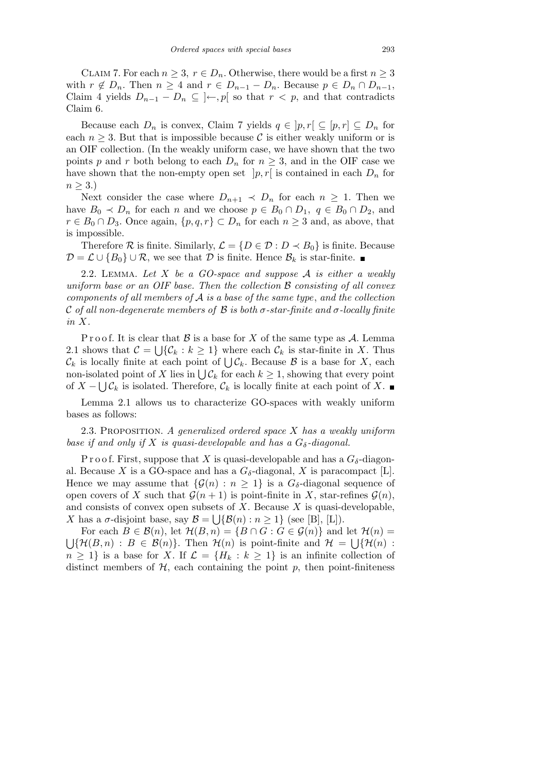CLAIM 7. For each  $n \geq 3$ ,  $r \in D_n$ . Otherwise, there would be a first  $n \geq 3$ with  $r \notin D_n$ . Then  $n \geq 4$  and  $r \in D_{n-1} - D_n$ . Because  $p \in D_n \cap D_{n-1}$ , Claim 4 yields  $D_{n-1} - D_n$  ⊆  $\}$ *←*, *p*[ so that *r < p*, and that contradicts Claim 6.

Because each  $D_n$  is convex, Claim 7 yields  $q \in [p, r] \subseteq [p, r] \subseteq D_n$  for each  $n \geq 3$ . But that is impossible because C is either weakly uniform or is an OIF collection. (In the weakly uniform case, we have shown that the two points *p* and *r* both belong to each  $D_n$  for  $n \geq 3$ , and in the OIF case we have shown that the non-empty open set  $|p, r|$  is contained in each  $D_n$  for  $n \geq 3.$ 

Next consider the case where  $D_{n+1} \prec D_n$  for each  $n \geq 1$ . Then we have  $B_0 \prec D_n$  for each *n* and we choose  $p \in B_0 \cap D_1$ ,  $q \in B_0 \cap D_2$ , and *r* ∈ *B*<sub>0</sub> ∩ *D*<sub>3</sub>. Once again,  $\{p,q,r\}$  ⊂ *D<sub>n</sub>* for each *n* ≥ 3 and, as above, that is impossible.

Therefore  $\mathcal{R}$  is finite. Similarly,  $\mathcal{L} = \{D \in \mathcal{D} : D \prec B_0\}$  is finite. Because *D* =  $\mathcal{L}$  ∪ { $B_0$ } ∪  $\mathcal{R}$ , we see that *D* is finite. Hence  $\mathcal{B}_k$  is star-finite. ■

2.2. Lemma. *Let X be a GO-space and suppose A is either a weakly uniform base or an OIF base. Then the collection B consisting of all convex components of all members of A is a base of the same type*, *and the collection C of all non-degenerate members of B is both σ-star-finite and σ-locally finite in X.*

P r o o f. It is clear that  $\mathcal B$  is a base for  $X$  of the same type as  $\mathcal A$ . Lemma 2.1 shows that  $\mathcal{C} = \bigcup \{ \mathcal{C}_k : k \geq 1 \}$  where each  $\mathcal{C}_k$  is star-finite in X. Thus 2.1 shows that  $C = \bigcup \{C_k : k \geq 1\}$  where each  $C_k$  is star-linite in  $\Lambda$ . Thus  $C_k$  is locally finite at each point of  $\bigcup C_k$ . Because  $\mathcal B$  is a base for *X*, each  $C_k$  is locally limite at each point of  $C_k$ . Because  $S$  is a base for  $\lambda$ , each non-isolated point of  $X$  lies in  $\bigcup C_k$  for each  $k \geq 1$ , showing that every point of  $X$  −  $\bigcup$   $\mathcal{C}_k$  is isolated. Therefore,  $\mathcal{C}_k$  is locally finite at each point of  $X$ .

Lemma 2.1 allows us to characterize GO-spaces with weakly uniform bases as follows:

2.3. Proposition. *A generalized ordered space X has a weakly uniform base if and only if*  $X$  *is quasi-developable and has a*  $G_{\delta}$ -diagonal.

P r o o f. First, suppose that X is quasi-developable and has a  $G_{\delta}$ -diagonal. Because *X* is a GO-space and has a  $G_{\delta}$ -diagonal, *X* is paracompact [L]. Hence we may assume that  $\{\mathcal{G}(n) : n \geq 1\}$  is a  $G_{\delta}$ -diagonal sequence of open covers of *X* such that  $\mathcal{G}(n+1)$  is point-finite in *X*, star-refines  $\mathcal{G}(n)$ , and consists of convex open subsets of  $X$ . Because  $X$  is quasi-developable, *X* has a *σ*-disjoint base, say  $\mathcal{B} = \bigcup \{ \mathcal{B}(n) : n \geq 1 \}$  (see [B], [L]).

For each  $B \in \mathcal{B}(n)$ , let  $\mathcal{H}(B, n) = \{B \cap G : G \in \mathcal{G}(n)\}\$  and let  $\mathcal{H}(n) =$ S  $\{\mathcal{H}(B,n): B \in \mathcal{B}(n)\}\$ . Then  $\mathcal{H}(n)$  is point-finite and  $\mathcal{H} = \bigcup \{\mathcal{H}(n):$  $n \geq 1$ *}* is a base for *X*. If  $\mathcal{L} = \{H_k : k \geq 1\}$  is an infinite collection of distinct members of  $H$ , each containing the point  $p$ , then point-finiteness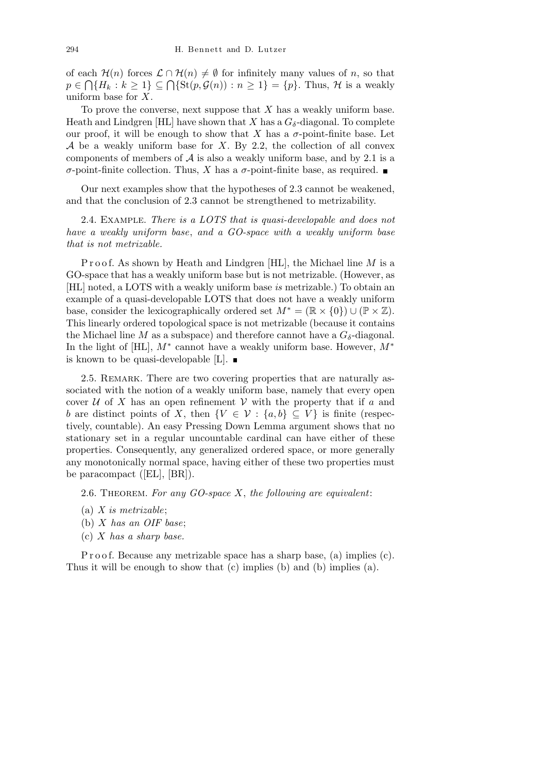of each  $\mathcal{H}(n)$  forces  $\mathcal{L} \cap \mathcal{H}(n) \neq \emptyset$  for infinitely many values of *n*, so that  $p \in \bigcap \{H_k : k \geq 1\} \subseteq \bigcap \{St(p, \mathcal{G}(n)) : n \geq 1\} = \{p\}.$  Thus, *H* is a weakly uniform base for *X*.

To prove the converse, next suppose that *X* has a weakly uniform base. Heath and Lindgren [HL] have shown that *X* has a  $G_{\delta}$ -diagonal. To complete our proof, it will be enough to show that  $X$  has a  $\sigma$ -point-finite base. Let *A* be a weakly uniform base for *X*. By 2.2, the collection of all convex components of members of  $A$  is also a weakly uniform base, and by 2.1 is a *σ*-point-finite collection. Thus, *X* has a *σ*-point-finite base, as required.  $\blacksquare$ 

Our next examples show that the hypotheses of 2.3 cannot be weakened, and that the conclusion of 2.3 cannot be strengthened to metrizability.

2.4. Example. *There is a LOTS that is quasi-developable and does not have a weakly uniform base*, *and a GO-space with a weakly uniform base that is not metrizable.*

P r o o f. As shown by Heath and Lindgren [HL], the Michael line *M* is a GO-space that has a weakly uniform base but is not metrizable. (However, as [HL] noted, a LOTS with a weakly uniform base *is* metrizable.) To obtain an example of a quasi-developable LOTS that does not have a weakly uniform base, consider the lexicographically ordered set  $M^* = (\mathbb{R} \times \{0\}) \cup (\mathbb{P} \times \mathbb{Z})$ . This linearly ordered topological space is not metrizable (because it contains the Michael line *M* as a subspace) and therefore cannot have a  $G_{\delta}$ -diagonal. In the light of [HL], *M<sup>∗</sup>* cannot have a weakly uniform base. However, *M<sup>∗</sup>* is known to be quasi-developable [L].  $\blacksquare$ 

2.5. REMARK. There are two covering properties that are naturally associated with the notion of a weakly uniform base, namely that every open cover  $U$  of X has an open refinement  $V$  with the property that if  $a$  and *b* are distinct points of *X*, then  $\{V \in \mathcal{V} : \{a, b\} \subseteq V\}$  is finite (respectively, countable). An easy Pressing Down Lemma argument shows that no stationary set in a regular uncountable cardinal can have either of these properties. Consequently, any generalized ordered space, or more generally any monotonically normal space, having either of these two properties must be paracompact ([EL], [BR]).

2.6. Theorem. *For any GO-space X*, *the following are equivalent*:

- (a) *X is metrizable*;
- (b) *X has an OIF base*;
- (c) *X has a sharp base.*

P r o o f. Because any metrizable space has a sharp base, (a) implies (c). Thus it will be enough to show that (c) implies (b) and (b) implies (a).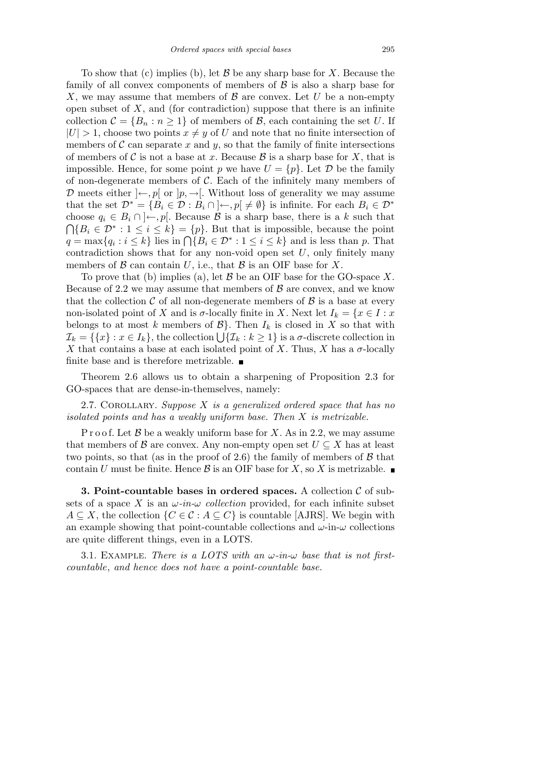To show that (c) implies (b), let *B* be any sharp base for *X*. Because the family of all convex components of members of *B* is also a sharp base for *X*, we may assume that members of *B* are convex. Let *U* be a non-empty open subset of *X*, and (for contradiction) suppose that there is an infinite collection  $C = \{B_n : n \geq 1\}$  of members of *B*, each containing the set *U*. If  $|U| > 1$ , choose two points  $x \neq y$  of *U* and note that no finite intersection of members of  $\mathcal C$  can separate  $x$  and  $y$ , so that the family of finite intersections of members of C is not a base at x. Because  $\mathcal B$  is a sharp base for X, that is impossible. Hence, for some point *p* we have  $U = \{p\}$ . Let  $\mathcal{D}$  be the family of non-degenerate members of *C*. Each of the infinitely many members of *D* meets either  $\vert \leftarrow$ , *p*[ or  $\vert p, \rightarrow \vert$ . Without loss of generality we may assume that the set  $\mathcal{D}^* = \{B_i \in \mathcal{D} : B_i \cap \{+, p \} \neq \emptyset\}$  is infinite. For each  $B_i \in \mathcal{D}^*$ choose  $q_i \in B_i \cap \mathcal{H}$ . Because  $\mathcal B$  is a sharp base, there is a *k* such that  ${B_i \in \mathcal{D}^* : 1 \leq i \leq k} = {p}.$  But that is impossible, because the point  $q = \max\{q_i : i \leq k\}$  lies in  $\bigcap \{B_i \in \mathcal{D}^* : 1 \leq i \leq k\}$  and is less than *p*. That contradiction shows that for any non-void open set *U*, only finitely many members of  $\beta$  can contain  $U$ , i.e., that  $\beta$  is an OIF base for  $X$ .

To prove that (b) implies (a), let *B* be an OIF base for the GO-space *X*. Because of 2.2 we may assume that members of  $\beta$  are convex, and we know that the collection  $\mathcal C$  of all non-degenerate members of  $\mathcal B$  is a base at every non-isolated point of *X* and is  $\sigma$ -locally finite in *X*. Next let  $I_k = \{x \in I : x$ belongs to at most *k* members of  $\mathcal{B}$ . Then  $I_k$  is closed in *X* so that with belongs to at most *k* members of  $B$ *}*. Then  $I_k$  is closed in  $A$  so that with  $\mathcal{I}_k = \{ \{x\} : x \in I_k \}$ , the collection  $\bigcup \{ \mathcal{I}_k : k \geq 1 \}$  is a  $\sigma$ -discrete collection in *X* that contains a base at each isolated point of *X*. Thus, *X* has a  $\sigma$ -locally finite base and is therefore metrizable.  $\blacksquare$ 

Theorem 2.6 allows us to obtain a sharpening of Proposition 2.3 for GO-spaces that are dense-in-themselves, namely:

2.7. Corollary. *Suppose X is a generalized ordered space that has no isolated points and has a weakly uniform base. Then X is metrizable.*

P r o o f. Let B be a weakly uniform base for X. As in 2.2, we may assume that members of  $\beta$  are convex. Any non-empty open set  $U \subseteq X$  has at least two points, so that (as in the proof of 2.6) the family of members of *B* that contain *U* must be finite. Hence  $\beta$  is an OIF base for *X*, so *X* is metrizable.

**3. Point-countable bases in ordered spaces.** A collection *C* of subsets of a space X is an  $\omega$ -in- $\omega$  collection provided, for each infinite subset *A* ⊆ *X*, the collection  $\{C \in \mathcal{C} : A \subseteq C\}$  is countable [AJRS]. We begin with an example showing that point-countable collections and  $\omega$ -in- $\omega$  collections are quite different things, even in a LOTS.

3.1. EXAMPLE. *There is a LOTS with an*  $\omega$ -in- $\omega$  base that is not first*countable*, *and hence does not have a point-countable base.*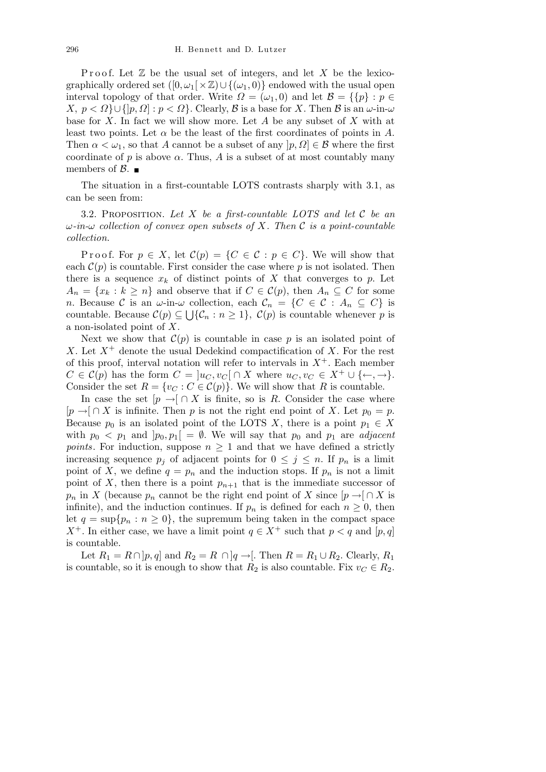Proof. Let  $\mathbb Z$  be the usual set of integers, and let  $X$  be the lexicographically ordered set  $([0, \omega_1] \times \mathbb{Z}) \cup \{(\omega_1, 0)\}\$ endowed with the usual open interval topology of that order. Write  $\Omega = (\omega_1, 0)$  and let  $\mathcal{B} = \{\{p\} : p \in$ *X, p < Ω}∪{*]*p, Ω*] : *p < Ω}*. Clearly, *B* is a base for *X*. Then *B* is an *ω*-in-*ω* base for *X*. In fact we will show more. Let *A* be any subset of *X* with at least two points. Let  $\alpha$  be the least of the first coordinates of points in A. Then  $\alpha < \omega_1$ , so that *A* cannot be a subset of any  $|p, \Omega| \in \mathcal{B}$  where the first coordinate of  $p$  is above  $\alpha$ . Thus,  $A$  is a subset of at most countably many members of  $\beta$ .

The situation in a first-countable LOTS contrasts sharply with 3.1, as can be seen from:

3.2. Proposition. *Let X be a first-countable LOTS and let C be an ω-in-ω collection of convex open subsets of X. Then C is a point-countable collection.*

Proof. For  $p \in X$ , let  $C(p) = \{C \in \mathcal{C} : p \in C\}$ . We will show that each  $\mathcal{C}(p)$  is countable. First consider the case where p is not isolated. Then there is a sequence  $x_k$  of distinct points of  $X$  that converges to  $p$ . Let  $A_n = \{x_k : k \geq n\}$  and observe that if  $C \in C(p)$ , then  $A_n \subseteq C$  for some *n*. Because *C* is an  $\omega$ -in- $\omega$  collection, each  $\mathcal{C}_n = \{C \in \mathcal{C} : A_n \subseteq C\}$  is countable. Because  $C(p) \subseteq \bigcup \{C_n : n \geq 1\}, C(p)$  is countable whenever p is a non-isolated point of *X*.

Next we show that  $\mathcal{C}(p)$  is countable in case p is an isolated point of *X*. Let  $X^+$  denote the usual Dedekind compactification of *X*. For the rest of this proof, interval notation will refer to intervals in  $X^+$ . Each member  $C \in \mathcal{C}(p)$  has the form  $C = [u_C, v_C] \cap X$  where  $u_C, v_C \in X^+ \cup \{\leftarrow, \rightarrow\}.$ Consider the set  $R = \{v_C : C \in C(p)\}$ . We will show that *R* is countable.

In case the set  $[p \rightarrow \infty] \cap X$  is finite, so is *R*. Consider the case where  $[p \rightarrow] \cap X$  is infinite. Then *p* is not the right end point of *X*. Let  $p_0 = p$ . Because  $p_0$  is an isolated point of the LOTS *X*, there is a point  $p_1 \in X$ with  $p_0 \leq p_1$  and  $[p_0, p_1] = \emptyset$ . We will say that  $p_0$  and  $p_1$  are *adjacent points*. For induction, suppose  $n \geq 1$  and that we have defined a strictly increasing sequence  $p_j$  of adjacent points for  $0 \leq j \leq n$ . If  $p_n$  is a limit point of *X*, we define  $q = p_n$  and the induction stops. If  $p_n$  is not a limit point of *X*, then there is a point  $p_{n+1}$  that is the immediate successor of *p<sub>n</sub>* in *X* (because *p<sub>n</sub>* cannot be the right end point of *X* since  $[p \rightarrow ] \cap X$  is infinite), and the induction continues. If  $p_n$  is defined for each  $n \geq 0$ , then let  $q = \sup\{p_n : n \geq 0\}$ , the supremum being taken in the compact space *X*<sup>+</sup>. In either case, we have a limit point  $q \in X^+$  such that  $p < q$  and  $[p, q]$ is countable.

Let  $R_1 = R \cap [p, q]$  and  $R_2 = R \cap [q \rightarrow ]$ . Then  $R = R_1 \cup R_2$ . Clearly,  $R_1$ is countable, so it is enough to show that  $R_2$  is also countable. Fix  $v_C \in R_2$ .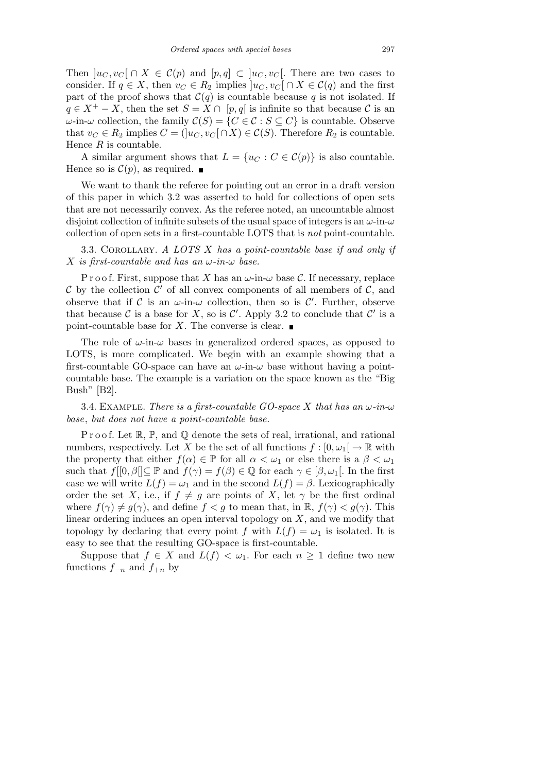Then  $|u_C, v_C| \cap X \in C(p)$  and  $[p, q] \subset |u_C, v_C|$ . There are two cases to consider. If  $q \in X$ , then  $v_C \in R_2$  implies  $|u_C, v_C| \cap X \in C(q)$  and the first part of the proof shows that  $C(q)$  is countable because *q* is not isolated. If  $q \in X^+ - X$ , then the set  $S = X \cap [p, q]$  is infinite so that because  $C$  is an *ω*-in-*ω* collection, the family  $C(S) = {C \in C : S ⊆ C}$  is countable. Observe that  $v_C \in R_2$  implies  $C = (u_C, v_C \cap X) \in C(S)$ . Therefore  $R_2$  is countable. Hence *R* is countable.

A similar argument shows that  $L = \{u_C : C \in C(p)\}\$ is also countable. Hence so is  $\mathcal{C}(p)$ , as required.

We want to thank the referee for pointing out an error in a draft version of this paper in which 3.2 was asserted to hold for collections of open sets that are not necessarily convex. As the referee noted, an uncountable almost disjoint collection of infinite subsets of the usual space of integers is an *ω*-in-*ω* collection of open sets in a first-countable LOTS that is *not* point-countable.

3.3. Corollary. *A LOTS X has a point-countable base if and only if X is first-countable and has an ω-in-ω base.*

P r o o f. First, suppose that *X* has an  $\omega$ -in- $\omega$  base C. If necessary, replace  $\mathcal C$  by the collection  $\mathcal C'$  of all convex components of all members of  $\mathcal C$ , and observe that if  $\mathcal C$  is an  $\omega$ -in- $\omega$  collection, then so is  $\mathcal C'$ . Further, observe that because C is a base for X, so is C'. Apply 3.2 to conclude that  $\mathcal{C}'$  is a point-countable base for *X*. The converse is clear.  $\blacksquare$ 

The role of  $\omega$ -in- $\omega$  bases in generalized ordered spaces, as opposed to LOTS, is more complicated. We begin with an example showing that a first-countable GO-space can have an *ω*-in-*ω* base without having a pointcountable base. The example is a variation on the space known as the "Big Bush" [B2].

3.4. EXAMPLE. *There is a first-countable GO-space X that has an*  $\omega$ -*in-* $\omega$ *base*, *but does not have a point-countable base.*

P r o o f. Let  $\mathbb{R}, \mathbb{P}$ , and  $\mathbb{Q}$  denote the sets of real, irrational, and rational numbers, respectively. Let *X* be the set of all functions  $f : [0, \omega_1] \to \mathbb{R}$  with the property that either  $f(\alpha) \in \mathbb{P}$  for all  $\alpha < \omega_1$  or else there is a  $\beta < \omega_1$ such that  $f([0, \beta]) \subseteq \mathbb{P}$  and  $f(\gamma) = f(\beta) \in \mathbb{Q}$  for each  $\gamma \in [\beta, \omega_1]$ . In the first case we will write  $L(f) = \omega_1$  and in the second  $L(f) = \beta$ . Lexicographically order the set *X*, i.e., if  $f \neq g$  are points of *X*, let  $\gamma$  be the first ordinal where  $f(\gamma) \neq g(\gamma)$ , and define  $f < g$  to mean that, in R,  $f(\gamma) < g(\gamma)$ . This linear ordering induces an open interval topology on *X*, and we modify that topology by declaring that every point *f* with  $L(f) = \omega_1$  is isolated. It is easy to see that the resulting GO-space is first-countable.

Suppose that  $f \in X$  and  $L(f) < \omega_1$ . For each  $n \geq 1$  define two new functions  $f_{-n}$  and  $f_{+n}$  by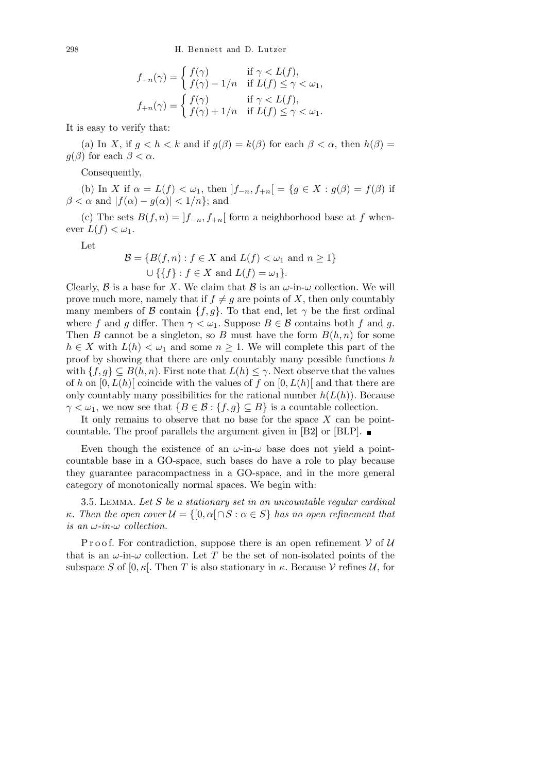$$
f_{-n}(\gamma) = \begin{cases} f(\gamma) & \text{if } \gamma < L(f), \\ f(\gamma) - 1/n & \text{if } L(f) \le \gamma < \omega_1, \end{cases}
$$

$$
f_{+n}(\gamma) = \begin{cases} f(\gamma) & \text{if } \gamma < L(f), \\ f(\gamma) + 1/n & \text{if } L(f) \le \gamma < \omega_1. \end{cases}
$$

It is easy to verify that:

(a) In *X*, if  $q < h < k$  and if  $q(\beta) = k(\beta)$  for each  $\beta < \alpha$ , then  $h(\beta) =$ *g*( $\beta$ ) for each  $\beta < \alpha$ .

Consequently,

(b) In *X* if  $\alpha = L(f) < \omega_1$ , then  $|f_{-n}, f_{+n}| = \{g \in X : g(\beta) = f(\beta) \text{ if }$  $\beta < \alpha$  and  $|f(\alpha) - g(\alpha)| < 1/n$ ; and

(c) The sets  $B(f, n) = |f_{-n}, f_{+n}|$  form a neighborhood base at *f* whenever  $L(f) < \omega_1$ .

Let

$$
\mathcal{B} = \{B(f, n) : f \in X \text{ and } L(f) < \omega_1 \text{ and } n \ge 1\}
$$
\n
$$
\cup \{\{f\} : f \in X \text{ and } L(f) = \omega_1\}.
$$

Clearly,  $\beta$  is a base for *X*. We claim that  $\beta$  is an  $\omega$ -in- $\omega$  collection. We will prove much more, namely that if  $f \neq g$  are points of *X*, then only countably many members of *B* contain  $\{f, g\}$ . To that end, let  $\gamma$  be the first ordinal where *f* and *g* differ. Then  $\gamma < \omega_1$ . Suppose  $B \in \mathcal{B}$  contains both *f* and *g*. Then *B* cannot be a singleton, so *B* must have the form  $B(h, n)$  for some *h* ∈ *X* with  $L(h) < \omega_1$  and some  $n \ge 1$ . We will complete this part of the proof by showing that there are only countably many possible functions *h* with  $\{f, g\} \subseteq B(h, n)$ . First note that  $L(h) \leq \gamma$ . Next observe that the values of *h* on  $[0, L(h)]$  coincide with the values of *f* on  $[0, L(h)]$  and that there are only countably many possibilities for the rational number  $h(L(h))$ . Because  $\gamma < \omega_1$ , we now see that  ${B \in \mathcal{B} : f, g} \subseteq B}$  is a countable collection.

It only remains to observe that no base for the space *X* can be pointcountable. The proof parallels the argument given in [B2] or [BLP].  $\blacksquare$ 

Even though the existence of an  $\omega$ -in- $\omega$  base does not yield a pointcountable base in a GO-space, such bases do have a role to play because they guarantee paracompactness in a GO-space, and in the more general category of monotonically normal spaces. We begin with:

3.5. Lemma. *Let S be a stationary set in an uncountable regular cardinal κ. Then the open cover*  $\mathcal{U} = \{ [0, \alpha] \cap S : \alpha \in S \}$  *has no open refinement that is an ω-in-ω collection.*

Proof. For contradiction, suppose there is an open refinement  $V$  of  $U$ that is an  $\omega$ -in- $\omega$  collection. Let T be the set of non-isolated points of the subspace *S* of  $[0, \kappa]$ . Then *T* is also stationary in  $\kappa$ . Because *V* refines *U*, for